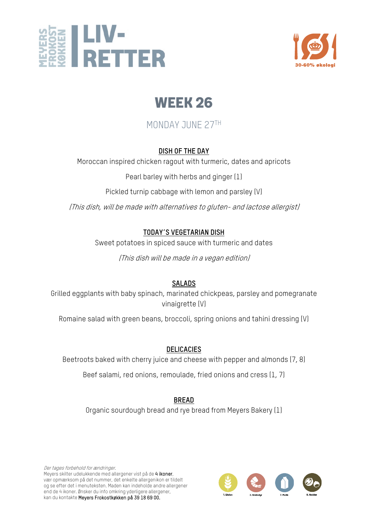



## MONDAY JUNE 27TH

## **DISH OF THE DAY**

Moroccan inspired chicken ragout with turmeric, dates and apricots

Pearl barley with herbs and ginger (1)

Pickled turnip cabbage with lemon and parsley (V)

(This dish, will be made with alternatives to gluten- and lactose allergist)

## **TODAY´S VEGETARIAN DISH**

Sweet potatoes in spiced sauce with turmeric and dates

(This dish will be made in a vegan edition)

## **SALADS**

Grilled eggplants with baby spinach, marinated chickpeas, parsley and pomegranate vinaigrette (V)

Romaine salad with green beans, broccoli, spring onions and tahini dressing (V)

## **DELICACIES**

Beetroots baked with cherry juice and cheese with pepper and almonds (7, 8)

Beef salami, red onions, remoulade, fried onions and cress (1, 7)

## **BREAD**

Organic sourdough bread and rye bread from Meyers Bakery (1)

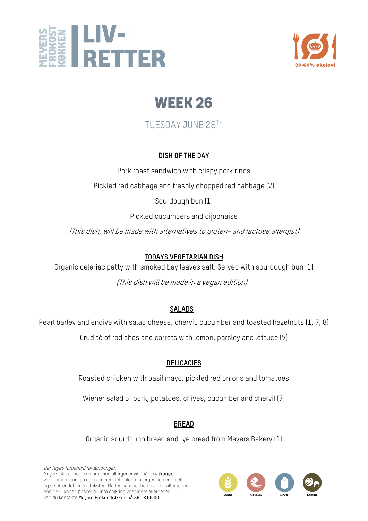



TUESDAY JUNE 28TH

## **DISH OF THE DAY**

Pork roast sandwich with crispy pork rinds Pickled red cabbage and freshly chopped red cabbage (V)

Sourdough bun (1)

Pickled cucumbers and dijoonaise

(This dish, will be made with alternatives to gluten- and lactose allergist)

## **TODAYS VEGETARIAN DISH**

Organic celeriac patty with smoked bay leaves salt. Served with sourdough bun (1)

(This dish will be made in a vegan edition)

## **SALADS**

Pearl barley and endive with salad cheese, chervil, cucumber and toasted hazelnuts (1, 7, 8)

Crudité of radishes and carrots with lemon, parsley and lettuce (V)

## **DELICACIES**

Roasted chicken with basil mayo, pickled red onions and tomatoes

Wiener salad of pork, potatoes, chives, cucumber and chervil (7)

## **BREAD**

Organic sourdough bread and rye bread from Meyers Bakery (1)

Der tages forbehold for ændringer. Meyers skilter udelukkende med allergener vist på de 4 ikoner, vær opmærksom på det nummer, det enkelte allergenikon er tildelt og se efter det i menuteksten. Maden kan indeholde andre allergener end de 4 ikoner. Ønsker du info omkring yderligere allergener, kan du kontakte Meyers Frokostkøkken på 39 18 69 00.

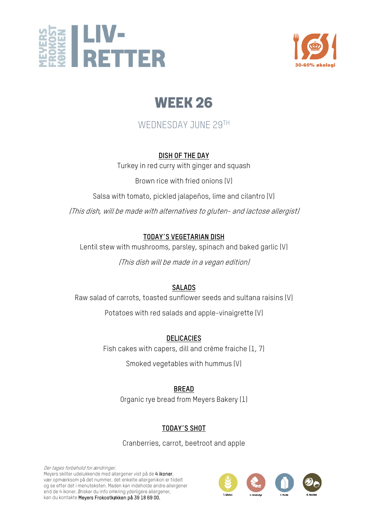



## WEDNESDAY JUNE 29TH

## **DISH OF THE DAY**

Turkey in red curry with ginger and squash

Brown rice with fried onions (V)

Salsa with tomato, pickled jalapeños, lime and cilantro (V)

(This dish, will be made with alternatives to gluten- and lactose allergist)

## **TODAY´S VEGETARIAN DISH**

Lentil stew with mushrooms, parsley, spinach and baked garlic (V)

(This dish will be made in a vegan edition)

## **SALADS**

Raw salad of carrots, toasted sunflower seeds and sultana raisins (V)

Potatoes with red salads and apple-vinaigrette (V)

**DELICACIES**

Fish cakes with capers, dill and crème fraiche (1, 7)

Smoked vegetables with hummus (V)

## **BREAD**

Organic rye bread from Meyers Bakery (1)

## **TODAY´S SHOT**

Cranberries, carrot, beetroot and apple

Der tages forbehold for ændringer. Meyers skilter udelukkende med allergener vist på de 4 ikoner, vær opmærksom på det nummer, det enkelte allergenikon er tildelt og se efter det i menuteksten. Maden kan indeholde andre allergener end de 4 ikoner. Ønsker du info omkring yderligere allergener, kan du kontakte Meyers Frokostkøkken på 39 18 69 00.

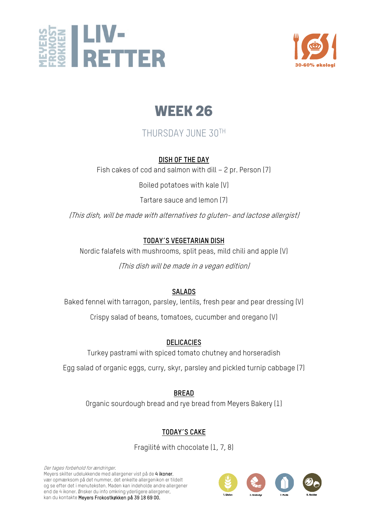



## THURSDAY JUNE 30TH

### **DISH OF THE DAY**

Fish cakes of cod and salmon with dill – 2 pr. Person (7)

Boiled potatoes with kale (V)

Tartare sauce and lemon (7)

(This dish, will be made with alternatives to gluten- and lactose allergist)

## **TODAY´S VEGETARIAN DISH**

Nordic falafels with mushrooms, split peas, mild chili and apple (V)

(This dish will be made in a vegan edition)

## **SALADS**

Baked fennel with tarragon, parsley, lentils, fresh pear and pear dressing (V)

Crispy salad of beans, tomatoes, cucumber and oregano (V)

### **DELICACIES**

Turkey pastrami with spiced tomato chutney and horseradish

Egg salad of organic eggs, curry, skyr, parsley and pickled turnip cabbage (7)

**BREAD**

Organic sourdough bread and rye bread from Meyers Bakery (1)

## **TODAY´S CAKE**

Fragilité with chocolate (1, 7, 8)

Der tages forbehold for ændringer. Meyers skilter udelukkende med allergener vist på de 4 ikoner, vær opmærksom på det nummer, det enkelte allergenikon er tildelt og se efter det i menuteksten. Maden kan indeholde andre allergener end de 4 ikoner. Ønsker du info omkring yderligere allergener, kan du kontakte Meyers Frokostkøkken på 39 18 69 00.